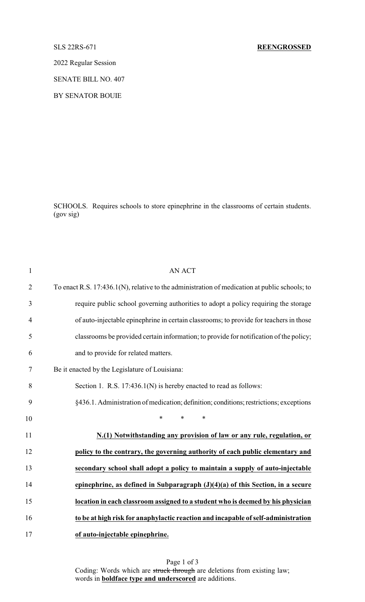## SLS 22RS-671 **REENGROSSED**

2022 Regular Session

SENATE BILL NO. 407

BY SENATOR BOUIE

SCHOOLS. Requires schools to store epinephrine in the classrooms of certain students. (gov sig)

| $\mathbf{1}$   | <b>AN ACT</b>                                                                                 |
|----------------|-----------------------------------------------------------------------------------------------|
| $\overline{2}$ | To enact R.S. 17:436.1(N), relative to the administration of medication at public schools; to |
| 3              | require public school governing authorities to adopt a policy requiring the storage           |
| $\overline{4}$ | of auto-injectable epinephrine in certain classrooms; to provide for teachers in those        |
| 5              | classrooms be provided certain information; to provide for notification of the policy;        |
| 6              | and to provide for related matters.                                                           |
| 7              | Be it enacted by the Legislature of Louisiana:                                                |
| 8              | Section 1. R.S. $17:436.1(N)$ is hereby enacted to read as follows:                           |
| 9              | §436.1. Administration of medication; definition; conditions; restrictions; exceptions        |
| 10             | $\ast$<br>$\ast$<br>$\ast$                                                                    |
| 11             | N.(1) Notwithstanding any provision of law or any rule, regulation, or                        |
| 12             | policy to the contrary, the governing authority of each public elementary and                 |
| 13             | secondary school shall adopt a policy to maintain a supply of auto-injectable                 |
| 14             | epinephrine, as defined in Subparagraph $(J)(4)(a)$ of this Section, in a secure              |
| 15             | location in each classroom assigned to a student who is deemed by his physician               |
| 16             | to be at high risk for anaphylactic reaction and incapable of self-administration             |
| 17             | of auto-injectable epinephrine.                                                               |

Page 1 of 3 Coding: Words which are struck through are deletions from existing law; words in **boldface type and underscored** are additions.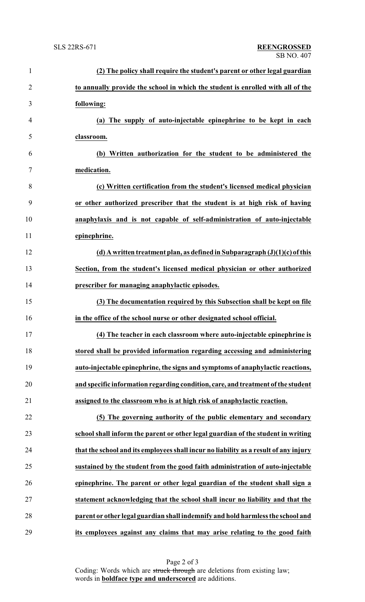| $\mathbf{1}$   | (2) The policy shall require the student's parent or other legal guardian            |
|----------------|--------------------------------------------------------------------------------------|
| $\overline{2}$ | to annually provide the school in which the student is enrolled with all of the      |
| 3              | following:                                                                           |
| $\overline{4}$ | (a) The supply of auto-injectable epinephrine to be kept in each                     |
| 5              | classroom.                                                                           |
| 6              | (b) Written authorization for the student to be administered the                     |
| 7              | medication.                                                                          |
| 8              | (c) Written certification from the student's licensed medical physician              |
| 9              | or other authorized prescriber that the student is at high risk of having            |
| 10             | anaphylaxis and is not capable of self-administration of auto-injectable             |
| 11             | epinephrine.                                                                         |
| 12             | (d) A written treatment plan, as defined in Subparagraph $(J)(1)(c)$ of this         |
| 13             | Section, from the student's licensed medical physician or other authorized           |
| 14             | prescriber for managing anaphylactic episodes.                                       |
| 15             | (3) The documentation required by this Subsection shall be kept on file              |
| 16             | in the office of the school nurse or other designated school official.               |
| 17             | (4) The teacher in each classroom where auto-injectable epinephrine is               |
| 18             | stored shall be provided information regarding accessing and administering           |
| 19             | auto-injectable epinephrine, the signs and symptoms of anaphylactic reactions,       |
| 20             | and specific information regarding condition, care, and treatment of the student     |
| 21             | assigned to the classroom who is at high risk of anaphylactic reaction.              |
| 22             | (5) The governing authority of the public elementary and secondary                   |
| 23             | school shall inform the parent or other legal guardian of the student in writing     |
| 24             | that the school and its employees shall incur no liability as a result of any injury |
| 25             | sustained by the student from the good faith administration of auto-injectable       |
| 26             | epinephrine. The parent or other legal guardian of the student shall sign a          |
| 27             | statement acknowledging that the school shall incur no liability and that the        |
| 28             | parent or other legal guardian shall indemnify and hold harmless the school and      |
| 29             | its employees against any claims that may arise relating to the good faith           |